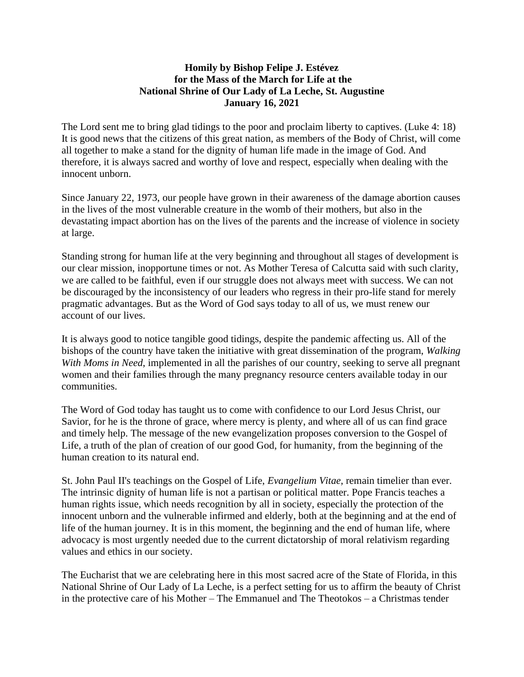## **Homily by Bishop Felipe J. Estévez for the Mass of the March for Life at the National Shrine of Our Lady of La Leche, St. Augustine January 16, 2021**

The Lord sent me to bring glad tidings to the poor and proclaim liberty to captives. (Luke 4: 18) It is good news that the citizens of this great nation, as members of the Body of Christ, will come all together to make a stand for the dignity of human life made in the image of God. And therefore, it is always sacred and worthy of love and respect, especially when dealing with the innocent unborn.

Since January 22, 1973, our people have grown in their awareness of the damage abortion causes in the lives of the most vulnerable creature in the womb of their mothers, but also in the devastating impact abortion has on the lives of the parents and the increase of violence in society at large.

Standing strong for human life at the very beginning and throughout all stages of development is our clear mission, inopportune times or not. As Mother Teresa of Calcutta said with such clarity, we are called to be faithful, even if our struggle does not always meet with success. We can not be discouraged by the inconsistency of our leaders who regress in their pro-life stand for merely pragmatic advantages. But as the Word of God says today to all of us, we must renew our account of our lives.

It is always good to notice tangible good tidings, despite the pandemic affecting us. All of the bishops of the country have taken the initiative with great dissemination of the program, *Walking With Moms in Need*, implemented in all the parishes of our country, seeking to serve all pregnant women and their families through the many pregnancy resource centers available today in our communities.

The Word of God today has taught us to come with confidence to our Lord Jesus Christ, our Savior, for he is the throne of grace, where mercy is plenty, and where all of us can find grace and timely help. The message of the new evangelization proposes conversion to the Gospel of Life, a truth of the plan of creation of our good God, for humanity, from the beginning of the human creation to its natural end.

St. John Paul II's teachings on the Gospel of Life, *Evangelium Vitae*, remain timelier than ever. The intrinsic dignity of human life is not a partisan or political matter. Pope Francis teaches a human rights issue, which needs recognition by all in society, especially the protection of the innocent unborn and the vulnerable infirmed and elderly, both at the beginning and at the end of life of the human journey. It is in this moment, the beginning and the end of human life, where advocacy is most urgently needed due to the current dictatorship of moral relativism regarding values and ethics in our society.

The Eucharist that we are celebrating here in this most sacred acre of the State of Florida, in this National Shrine of Our Lady of La Leche, is a perfect setting for us to affirm the beauty of Christ in the protective care of his Mother – The Emmanuel and The Theotokos – a Christmas tender